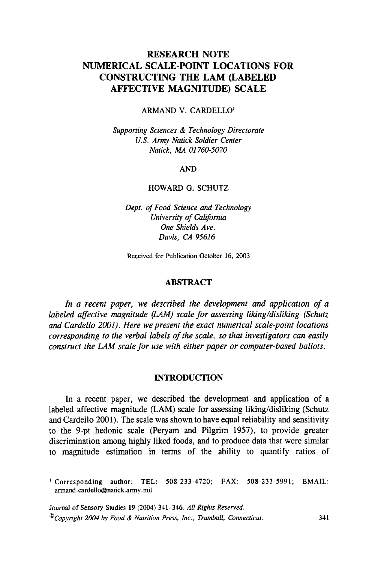# **RESEARCH NOTE CONSTRUCTING THE LAM (LABELED AFFECTIVE MAGNITUDE) SCALE NUMERICAL SCALE-POINT LOCATIONS FOR**

ARMAND V. CARDELLO'

*Supporting Sciences* & *Technology Directorate US. Amy Natick Soldier Center Natick, MA 01 760-5020* 

AND

# HOWARD G. SCHUTZ

*Dept. of Food Science and Technology University of California One Shields Ave. Davis, CA 95616* 

Received for Publication October 16, 2003

# **ABSTRACT**

*In a recent paper, we described the development and application of a labeled affective magnitude (LAM) scale for assessing liking/disliking (Schutz and Cardello 2001). Here we present the exact numerical scale-point locations corresponding to the verbal labels of the scale, so that investigators can easily construct the LAM scale for use with either paper or computer-based ballots.* 

# **INTRODUCTION**

In a recent paper, we described the development and application of a labeled affective magnitude (LAM) scale for assessing liking/disliking (Schutz and Cardello 2001). The scale was shown to have equal reliability and sensitivity to the 9-pt hedonic scale (Peryam and Pilgrim 1957), to provide greater discrimination among highly liked foods, and to produce data that were similar to magnitude estimation in terms of the ability to quantify ratios of

' Corresponding author: TEL: 508-233-4720; FAX: 508-233-5991; **EMAIL:**  armand.cardello@natick.army.mil

Journal of Sensory Studies 19 (2004) 341-346. All *Rights* Reserved. *OCopyright 2004 by Food* & *Nutrition Press, Inc., Trumbull, Connecricut.* **341**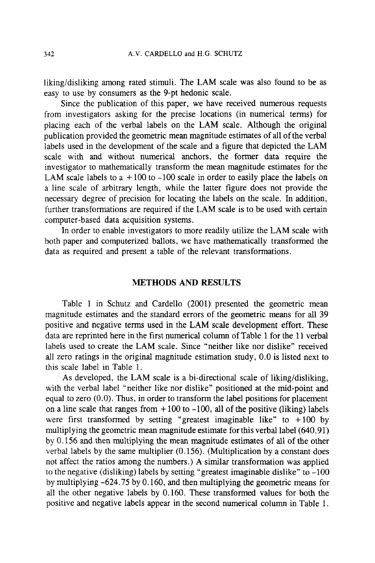liking/disliking among rated stimuli. The LAM scale was also found to be **as**  easy to use by consumers **as** the 9-pt hedonic scale.

Since the publication of this paper, we have received numerous requests from investigators asking for the precise locations (in numerical terms) for placing each of the verbal labels on the LAM scale. Although the original publication provided the geometric mean magnitude estimates of all of the verbal labels used in the development of the scale and a figure that depicted the LAM scale with and without numerical anchors, the former data require the investigator to mathematically transform the mean magnitude estimates for the LAM scale labels to a  $+100$  to  $-100$  scale in order to easily place the labels on a line scale of arbitrary length, while the latter figure does not provide the necessary degree of precision for locating the labels on the scale. In addition, further transformations are required if the LAM scale is to be used with certain computer-based data acquisition systems.

In order to enable investigators to more readily utilize the LAM scale with both paper and computerized ballots, we have mathematically transformed the data as required and present a table of the relevant transformations.

# **METHODS AND RESULTS**

Table 1 in Schutz and Cardello (2001) presented the geometric mean magnitude estimates and the standard errors of the geometric means for all 39 positive and negative terms used in the LAM scale development effort. These data are reprinted here in the first numerical column of Table 1 for the 11 verbal labels used to create the LAM scale. Since "neither like nor dislike" received all zero ratings in the original magnitude estimation study, 0.0 is listed next to this scale label in Table 1.

**As** developed, the LAM scale is a bi-directional scale of liking/disliking, with the verbal label "neither like nor dislike" positioned at the mid-point and equal to zero (0.0). Thus, in order to transform the label positions for placement on a line scale that ranges from  $+100$  to  $-100$ , all of the positive (liking) labels were first transformed by setting "greatest imaginable like" to  $+100$  by multiplying the geometric mean magnitude estimate for this verbal label (640.91) by 0.156 and then multiplying the mean magnitude estimates of all of the other verbal labels by the same multiplier (0.156). (Multiplication by a constant does not affect the ratios among the numbers.) A similar transformation was applied to the negative (disliking) labels by setting "greatest imaginable dislike" to -100 by multiplying -624.75 by 0.160, and then multiplying the geometric means for all the other negative labels by 0.160. These transformed values for both the positive and negative labels appear in the second numerical column in Table 1.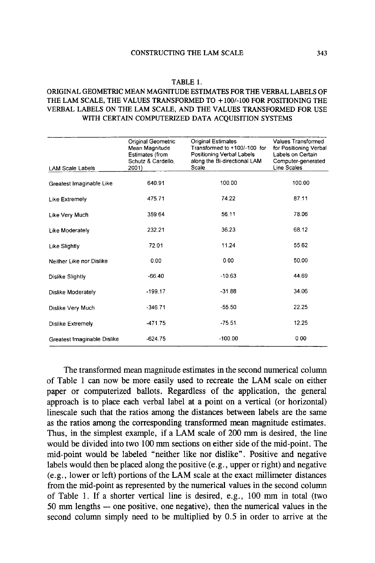# **TABLE 1.**

#### **ORIGINAL GEOMETRIC MEAN MAGNITUDE ESTIMATES FOR THE VERBAL LABELS OF VERBAL LABELS ON THE LAM SCALE, AND THE VALUES TRANSFORMED FOR USE WITH CERTAIN COMPUTERIZED DATA ACQUISITION SYSTEMS THE LAM SCALE, THE VALUES TRANSFORMED TO** + **1001-100 FOR POSITIONING THE**

| <b>LAM Scale Labels</b>     | Original Geometric<br>Mean Magnitude<br>Estimates (from<br>Schutz & Cardello.<br>2001) | <b>Original Estimates</b><br>Transformed to +100/-100 for<br>Positioning Verbal Labels<br>along the Bi-directional LAM<br>Scale | Values Transformed<br>for Positioning Verbal<br>Labels on Certain<br>Computer-generated<br>Line Scales |
|-----------------------------|----------------------------------------------------------------------------------------|---------------------------------------------------------------------------------------------------------------------------------|--------------------------------------------------------------------------------------------------------|
|                             |                                                                                        |                                                                                                                                 |                                                                                                        |
| Greatest Imaginable Like    | 640.91                                                                                 | 100.00                                                                                                                          | 100.00                                                                                                 |
| Like Extremely              | 475.71                                                                                 | 74.22                                                                                                                           | 87.11                                                                                                  |
| Like Very Much              | 359.64                                                                                 | 56.11                                                                                                                           | 78.06                                                                                                  |
| Like Moderately             | 232.21                                                                                 | 36.23                                                                                                                           | 68.12                                                                                                  |
| Like Slightly               | 72.01                                                                                  | 11.24                                                                                                                           | 55.62                                                                                                  |
| Neither Like nor Dislike    | 0.00                                                                                   | 0.00                                                                                                                            | 50.00                                                                                                  |
| Dislike Slightly            | $-66.40$                                                                               | $-10.63$                                                                                                                        | 44.69                                                                                                  |
| Dislike Moderately          | $-199.17$                                                                              | $-31.88$                                                                                                                        | 34.06                                                                                                  |
| Dislike Very Much           | $-346.71$                                                                              | $-55.50$                                                                                                                        | 22.25                                                                                                  |
| Dislike Extremely           | -471.75                                                                                | $-75.51$                                                                                                                        | 12.25                                                                                                  |
| Greatest Imaginable Dislike | $-624.75$                                                                              | $-100.00$                                                                                                                       | 0.00                                                                                                   |

The transformed mean magnitude estimates in the second numerical column of Table 1 can now be more easily used to recreate the **LAM** scale on either paper or computerized ballots. Regardless of the application, the general approach is to place each verbal label at a point on a vertical (or horizontal) linescale such that the ratios among the distances between labels are the same as the ratios among the corresponding transformed mean magnitude estimates. Thus, in the simplest example, if a **LAM** scale of 200 mm is desired, the line would be divided into two 100 mm sections on either side of the mid-point. The mid-point would be labeled "neither like nor dislike". Positive and negative labels would then be placed along the positive (e.g., upper or right) and negative (e.g., lower or left) portions of the **LAM** scale at the exact millimeter distances from the mid-point as represented by the numerical values in the second column of Table 1. If a shorter vertical line is desired, e.g., 100 mm in total (two 50 mm lengths - one positive, one negative), then the numerical values in the second column simply need to be multiplied by 0.5 in order to arrive at the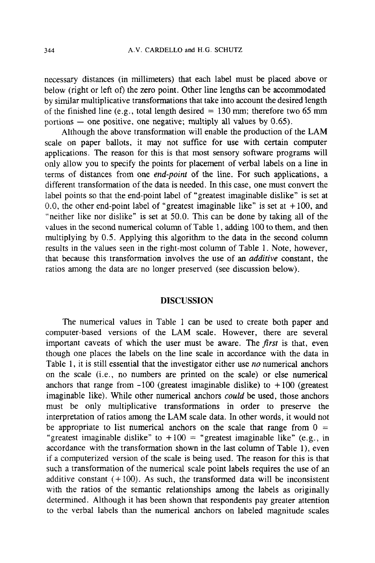necessary distances (in millimeters) that each label must be placed above or below (right or left **of)** the zero point. Other line lengths can be accommodated by similar multiplicative transformations that take into account the desired length of the finished line (e.g., total length desired  $= 130$  mm; therefore two 65 mm portions  $-$  one positive, one negative; multiply all values by 0.65).

Although the above transformation will enable the production of the LAM scale on paper ballots, it may not suffice for use with certain computer applications. The reason for this is that most sensory software programs will only allow you to specify the points for placement of verbal labels on a line in terms of distances from one *end-point* of the line. For such applications, a different transformation of the data is needed. In this case, one must convert the label points so that the end-point label of "greatest imaginable dislike" is set at 0.0, the other end-point label of "greatest imaginable like" is set at  $+100$ , and "neither like nor dislike" is set at *50.0.* This can be done by taking all of the values in the second numerical column of Table 1, adding 100 to them, and then multiplying by 0.5. Applying this algorithm to the data in the second column results in the values seen in the right-most column of Table 1. Note, however, that because this transformation involves the use of an *additive* constant, the ratios among the data are no longer preserved (see discussion below).

# **DISCUSSION**

The numerical values in Table 1 can be used to create both paper and computer-based versions of the LAM scale. However, there are several important caveats of which the user must be aware. The first is that, even though one places the labels on the line scale in accordance with the data in Table 1, it is still essential that the investigator either use *no* numerical anchors on the scale (i.e., no numbers are printed on the scale) or else numerical anchors that range from  $-100$  (greatest imaginable dislike) to  $+100$  (greatest imaginable like). While other numerical anchors *could* be used, those anchors must be only multiplicative transformations in order to preserve the interpretation of ratios among the LAM scale data. In other words, it would not be appropriate to list numerical anchors on the scale that range from  $0 =$ "greatest imaginable dislike" to  $+100 =$  "greatest imaginable like" (e.g., in accordance with the transformation shown in the last column of Table l), even if a computerized version of the scale is being used. The reason for this is that such a transformation of the numerical scale point labels requires the use of an additive constant  $(+100)$ . As such, the transformed data will be inconsistent with the ratios of the semantic relationships among the labels as originally determined. Although it has been shown that respondents pay greater attention to the verbal labels than the numerical anchors on labeled magnitude scales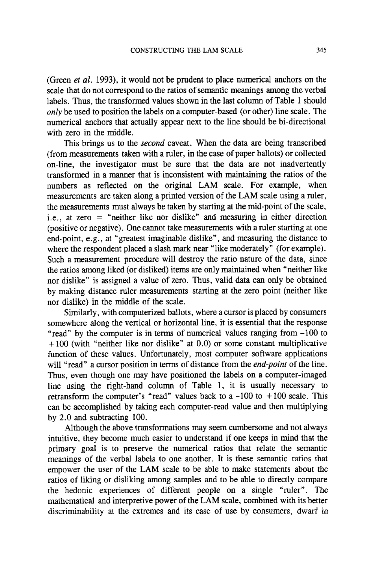(Green *et al.* 1993), it would not be prudent to place numerical anchors on the scale that do not correspond to the ratios of semantic meanings among the verbal labels. Thus, the transformed values shown in the last column of Table 1 should *only* be used to position the labels on a computer-based (or other) line scale. The numerical anchors that actually appear next to the line should be bi-directional with zero in the middle.

This brings **us** to the *second* caveat. When the data are being transcribed (from measurements taken with a ruler, in the case of paper ballots) or collected on-line, the investigator must be sure that the data are not inadvertently transformed in a manner that is inconsistent with maintaining the ratios of the numbers **as** reflected on the original **LAM** scale. For example, when measurements are taken along a printed version of the **LAM** scale using a ruler, the measurements must always be taken by starting at the mid-point of the scale, i.e., at zero = "neither like nor dislike" and measuring in either direction (positive or negative). One cannot take measurements with a ruler starting at one end-point, e.g., at "greatest imaginable dislike", and measuring the distance to where the respondent placed a slash mark near "like moderately" (for example). Such a measurement procedure will destroy the ratio nature of the data, since the ratios among liked (or disliked) items are only maintained when "neither like nor dislike" is assigned a value of zero. Thus, valid data can only be obtained by making distance ruler measurements starting at the zero point (neither like nor dislike) in the middle of the scale.

Similarly, with computerized ballots, where a cursor is placed by consumers somewhere along the vertical or horizontal line, it is essential that the response "read" by the computer is in terms of numerical values ranging from -100 to  $+100$  (with "neither like nor dislike" at 0.0) or some constant multiplicative function of these values. Unfortunately, most computer software applications will "read" a cursor position in terms of distance from the *end-point* of the line. Thus, even though one may have positioned the labels on a computer-imaged line using the right-hand column of Table 1, it is usually necessary to retransform the computer's "read" values back to a -100 to + 100 scale. This can be accomplished by taking each computer-read value and then multiplying by 2.0 and subtracting 100.

Although the above transformations may seem cumbersome and not always intuitive, they become much easier to understand if one keeps in mind that the primary goal is to preserve the numerical ratios that relate the semantic meanings of the verbal labels to one another. It is these semantic ratios that empower the user of the **LAM** scale to be able to make statements about the ratios of liking or disliking among samples and to be able to directly compare the hedonic experiences of different people on a single "ruler". The mathematical and interpretive power of the **LAM** scale, combined with its better discriminability at the extremes and its ease of use by consumers, dwarf in